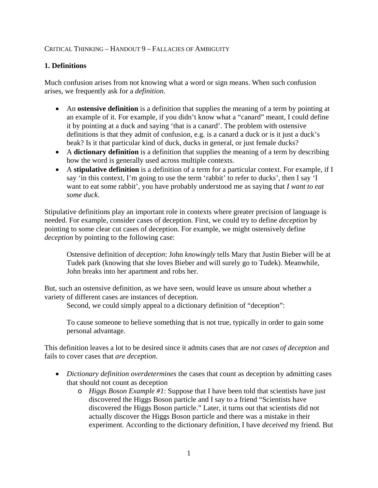# CRITICAL THINKING – HANDOUT 9 – FALLACIES OF AMBIGUITY

### **1. Definitions**

Much confusion arises from not knowing what a word or sign means. When such confusion arises, we frequently ask for a *definition*.

- An **ostensive definition** is a definition that supplies the meaning of a term by pointing at an example of it. For example, if you didn't know what a "canard" meant, I could define it by pointing at a duck and saying 'that is a canard'. The problem with ostensive definitions is that they admit of confusion, e.g. is a canard a duck or is it just a duck's beak? Is it that particular kind of duck, ducks in general, or just female ducks?
- A **dictionary definition** is a definition that supplies the meaning of a term by describing how the word is generally used across multiple contexts.
- A **stipulative definition** is a definition of a term for a particular context. For example, if I say 'in this context, I'm going to use the term 'rabbit' to refer to ducks', then I say 'I want to eat some rabbit', you have probably understood me as saying that *I want to eat some duck*.

Stipulative definitions play an important role in contexts where greater precision of language is needed. For example, consider cases of deception. First, we could try to define *deception* by pointing to some clear cut cases of deception. For example, we might ostensively define *deception* by pointing to the following case:

Ostensive definition of *deception*: John *knowingly* tells Mary that Justin Bieber will be at Tudek park (knowing that she loves Bieber and will surely go to Tudek). Meanwhile, John breaks into her apartment and robs her.

But, such an ostensive definition, as we have seen, would leave us unsure about whether a variety of different cases are instances of deception.

Second, we could simply appeal to a dictionary definition of "deception":

To cause someone to believe something that is not true, typically in order to gain some personal advantage.

This definition leaves a lot to be desired since it admits cases that are *not cases of deception* and fails to cover cases that *are deception*.

- *Dictionary definition overdetermines* the cases that count as deception by admitting cases that should not count as deception
	- o *Higgs Boson Example #1*: Suppose that I have been told that scientists have just discovered the Higgs Boson particle and I say to a friend "Scientists have discovered the Higgs Boson particle." Later, it turns out that scientists did not actually discover the Higgs Boson particle and there was a mistake in their experiment. According to the dictionary definition, I have *deceived* my friend. But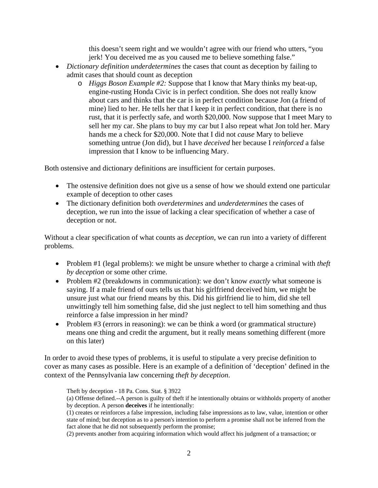this doesn't seem right and we wouldn't agree with our friend who utters, "you jerk! You deceived me as you caused me to believe something false."

- *Dictionary definition underdetermines* the cases that count as deception by failing to admit cases that should count as deception
	- o *Higgs Boson Example #2:* Suppose that I know that Mary thinks my beat-up, engine-rusting Honda Civic is in perfect condition. She does not really know about cars and thinks that the car is in perfect condition because Jon (a friend of mine) lied to her. He tells her that I keep it in perfect condition, that there is no rust, that it is perfectly safe, and worth \$20,000. Now suppose that I meet Mary to sell her my car. She plans to buy my car but I also repeat what Jon told her. Mary hands me a check for \$20,000. Note that I did not *cause* Mary to believe something untrue (Jon did), but I have *deceived* her because I *reinforced* a false impression that I know to be influencing Mary.

Both ostensive and dictionary definitions are insufficient for certain purposes.

- The ostensive definition does not give us a sense of how we should extend one particular example of deception to other cases
- The dictionary definition both *overdetermines* and *underdetermines* the cases of deception, we run into the issue of lacking a clear specification of whether a case of deception or not.

Without a clear specification of what counts as *deception*, we can run into a variety of different problems.

- Problem #1 (legal problems): we might be unsure whether to charge a criminal with *theft by deception* or some other crime.
- Problem #2 (breakdowns in communication): we don't know *exactly* what someone is saying. If a male friend of ours tells us that his girlfriend deceived him, we might be unsure just what our friend means by this. Did his girlfriend lie to him, did she tell unwittingly tell him something false, did she just neglect to tell him something and thus reinforce a false impression in her mind?
- Problem #3 (errors in reasoning): we can be think a word (or grammatical structure) means one thing and credit the argument, but it really means something different (more on this later)

In order to avoid these types of problems, it is useful to stipulate a very precise definition to cover as many cases as possible. Here is an example of a definition of 'deception' defined in the context of the Pennsylvania law concerning *theft by deception*.

Theft by deception - 18 Pa. Cons. Stat. § 3922

(a) Offense defined.--A person is guilty of theft if he intentionally obtains or withholds property of another by deception. A person **deceives** if he intentionally:

(1) creates or reinforces a false impression, including false impressions as to law, value, intention or other state of mind; but deception as to a person's intention to perform a promise shall not be inferred from the fact alone that he did not subsequently perform the promise;

(2) prevents another from acquiring information which would affect his judgment of a transaction; or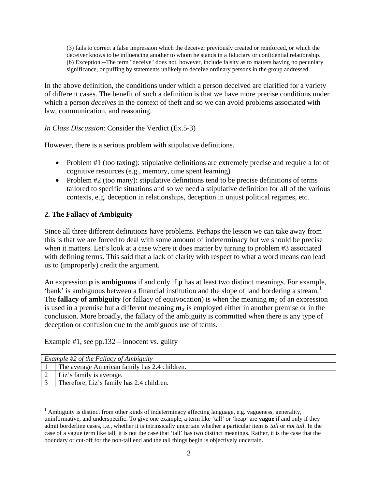(3) fails to correct a false impression which the deceiver previously created or reinforced, or which the deceiver knows to be influencing another to whom he stands in a fiduciary or confidential relationship. (b) Exception.--The term "deceive" does not, however, include falsity as to matters having no pecuniary significance, or puffing by statements unlikely to deceive ordinary persons in the group addressed.

In the above definition, the conditions under which a person deceived are clarified for a variety of different cases. The benefit of such a definition is that we have more precise conditions under which a person *deceives* in the context of theft and so we can avoid problems associated with law, communication, and reasoning.

*In Class Discussion*: Consider the Verdict (Ex.5-3)

However, there is a serious problem with stipulative definitions.

- Problem #1 (too taxing): stipulative definitions are extremely precise and require a lot of cognitive resources (e.g., memory, time spent learning)
- Problem #2 (too many): stipulative definitions tend to be precise definitions of terms tailored to specific situations and so we need a stipulative definition for all of the various contexts, e.g. deception in relationships, deception in unjust political regimes, etc.

# **2. The Fallacy of Ambiguity**

Since all three different definitions have problems. Perhaps the lesson we can take away from this is that we are forced to deal with some amount of indeterminacy but we should be precise when it matters. Let's look at a case where it does matter by turning to problem #3 associated with defining terms. This said that a lack of clarity with respect to what a word means can lead us to (improperly) credit the argument.

An expression **p** is **ambiguous** if and only if **p** has at least two distinct meanings. For example, 'bank' is ambiguous between a financial institution and the slope of land bordering a stream.<sup>[1](#page-2-0)</sup> The **fallacy of ambiguity** (or fallacy of equivocation) is when the meaning  $m_1$  of an expression is used in a premise but a different meaning *m2* is employed either in another premise or in the conclusion. More broadly, the fallacy of the ambiguity is committed when there is any type of deception or confusion due to the ambiguous use of terms.

Example #1, see pp.132 – innocent vs. guilty

| Example $#2$ of the Fallacy of Ambiguity |                                               |  |
|------------------------------------------|-----------------------------------------------|--|
|                                          | The average American family has 2.4 children. |  |
|                                          | Liz's family is average.                      |  |
|                                          | Therefore, Liz's family has 2.4 children.     |  |

<span id="page-2-0"></span><sup>&</sup>lt;sup>1</sup> Ambiguity is distinct from other kinds of indeterminacy affecting language, e.g. vagueness, generality, uninformative, and underspecific. To give one example, a term like 'tall' or 'heap' are **vague** if and only if they admit borderline cases, i.e., whether it is intrinsically uncertain whether a particular item is *tall* or *not tall*. In the case of a vague term like tall, it is not the case that 'tall' has two distinct meanings. Rather, it is the case that the boundary or cut-off for the non-tall end and the tall things begin is objectively uncertain.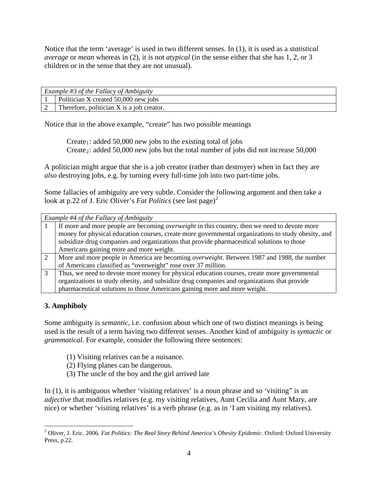Notice that the term 'average' is used in two different senses. In (1), it is used as a *statistical average* or *mean* whereas in (2), it is not *atypical* (in the sense either that she has 1, 2, or 3 children or in the sense that they are not unusual).

| Example #3 of the Fallacy of Ambiguity |                                           |
|----------------------------------------|-------------------------------------------|
|                                        | Politician X created 50,000 new jobs      |
|                                        | Therefore, politician X is a job creator. |

Notice that in the above example, "create" has two possible meanings

Create<sub>1</sub>: added 50,000 new jobs to the existing total of jobs Create 2: added 50,000 new jobs but the total number of jobs did not increase 50,000

A politician might argue that she is a job creator (rather than destroyer) when in fact they are *also* destroying jobs, e.g. by turning every full-time job into two part-time jobs.

Some fallacies of ambiguity are very subtle. Consider the following argument and then take a look at p.[2](#page-3-0)2 of J. Eric Oliver's *Fat Politics* (see last page)<sup>2</sup>

| Example #4 of the Fallacy of Ambiguity |                                                                                                     |  |
|----------------------------------------|-----------------------------------------------------------------------------------------------------|--|
|                                        | If more and more people are becoming <i>overweight</i> in this country, then we need to devote more |  |
|                                        | money for physical education courses, create more governmental organizations to study obesity, and  |  |
|                                        | subsidize drug companies and organizations that provide pharmaceutical solutions to those           |  |
|                                        | Americans gaining more and more weight.                                                             |  |
| $\mathcal{L}$                          | More and more people in America are becoming <i>overweight</i> . Between 1987 and 1988, the number  |  |
|                                        | of Americans classified as "overweight" rose over 37 million.                                       |  |
|                                        | Thus, we need to devote more money for physical education courses, create more governmental         |  |
|                                        | organizations to study obesity, and subsidize drug companies and organizations that provide         |  |
|                                        | pharmaceutical solutions to those Americans gaining more and more weight.                           |  |

# **3. Amphiboly**

Some ambiguity is *semantic*, i.e. confusion about which one of two distinct meanings is being used is the result of a term having two different senses. Another kind of ambiguity is *syntactic* or *grammatical*. For example, consider the following three sentences:

- (1) Visiting relatives can be a nuisance.
- (2) Flying planes can be dangerous.
- (3) The uncle of the boy and the girl arrived late

In (1), it is ambiguous whether 'visiting relatives' is a noun phrase and so 'visiting" is an *adjective* that modifies relatives (e.g. my visiting relatives, Aunt Cecilia and Aunt Mary, are nice) or whether 'visiting relatives' is a verb phrase (e.g. as in 'I am visiting my relatives).

<span id="page-3-0"></span><sup>&</sup>lt;sup>2</sup> Oliver, J. Eric. 2006. *Fat Politics: The Real Story Behind America's Obesity Epidemic*. Oxford: Oxford University Press, p.22.